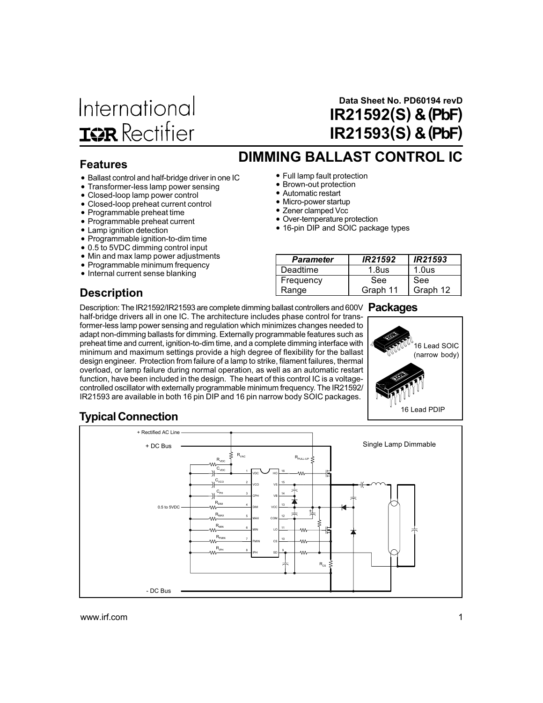# International **IQR** Rectifier

## Data Sheet No. PD60194 revD IR21592(S) & (PbF) IR21593(S) & (PbF)

### Features

- Ballast control and half-bridge driver in one IC<br>• Transformer-less lamp power sensing
- Transformer-less lamp power sensing
- Closed-loop lamp power control
- Closed-loop preheat current control
- Programmable preheat time
- Programmable preheat current
- Lamp ignition detection
- Programmable ignition-to-dim time
- 0.5 to 5VDC dimming control input
- Min and max lamp power adjustments
- Programmable minimum frequency
- Internal current sense blanking
- Full lamp fault protection
- Brown-out protection
- Automatic restart
- Micro-power startup
- Zener clamped Vcc
- Over-temperature protection
- 16-pin DIP and SOIC package types

DIMMING BALLAST CONTROL IC

| <b>Parameter</b> | IR21592           | IR21593           |
|------------------|-------------------|-------------------|
| Deadtime         | 1.8 <sub>us</sub> | 1.0 <sub>us</sub> |
| Frequency        | See               | See               |
| Range            | Graph 11          | Graph 12          |

## **Description**

Description: The IR21592/IR21593 are complete dimming ballast controllers and 600V Packages half-bridge drivers all in one IC. The architecture includes phase control for transformer-less lamp power sensing and regulation which minimizes changes needed to adapt non-dimming ballasts for dimming. Externally programmable features such as preheat time and current, ignition-to-dim time, and a complete dimming interface with minimum and maximum settings provide a high degree of flexibility for the ballast design engineer. Protection from failure of a lamp to strike, filament failures, thermal overload, or lamp failure during normal operation, as well as an automatic restart function, have been included in the design. The heart of this control IC is a voltagecontrolled oscillator with externally programmable minimum frequency. The IR21592/ IR21593 are available in both 16 pin DIP and 16 pin narrow body SOIC packages.



## Typical Connection

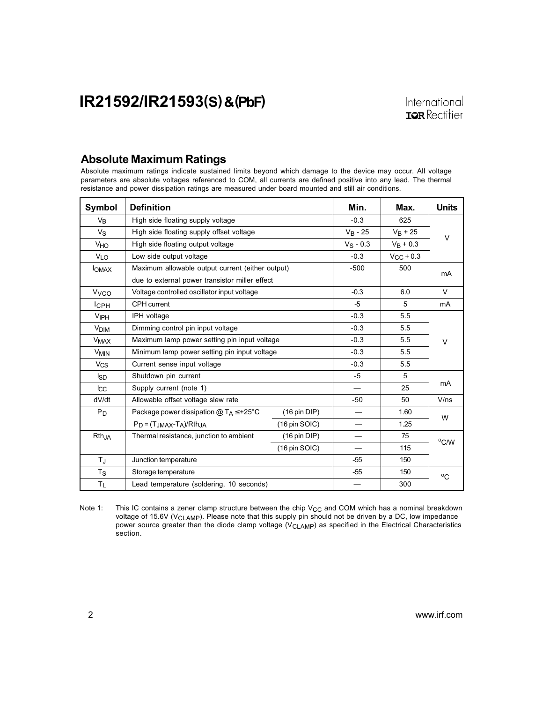### Absolute Maximum Ratings

Absolute maximum ratings indicate sustained limits beyond which damage to the device may occur. All voltage parameters are absolute voltages referenced to COM, all currents are defined positive into any lead. The thermal resistance and power dissipation ratings are measured under board mounted and still air conditions.

| Symbol                 | <b>Definition</b>                                | Min.                    | Max.           | <b>Units</b> |                |
|------------------------|--------------------------------------------------|-------------------------|----------------|--------------|----------------|
| $V_{B}$                | High side floating supply voltage                | $-0.3$                  | 625            |              |                |
| $V_S$                  | High side floating supply offset voltage         | $V_B - 25$              | $V_B + 25$     |              |                |
| <b>V<sub>HO</sub></b>  | High side floating output voltage                | $V_S - 0.3$             | $V_R + 0.3$    | V            |                |
| <b>VLO</b>             | Low side output voltage                          | $-0.3$                  | $V_{CC}$ + 0.3 |              |                |
| <b>IOMAX</b>           | Maximum allowable output current (either output) |                         | $-500$         | 500          | mA             |
|                        | due to external power transistor miller effect   |                         |                |              |                |
| <b>V<sub>VCO</sub></b> | Voltage controlled oscillator input voltage      |                         | $-0.3$         | 6.0          | V              |
| $I$ <sub>CPH</sub>     | CPH current                                      |                         | $-5$           | 5            | mA             |
| <b>VIPH</b>            | IPH voltage                                      |                         | $-0.3$         | 5.5          |                |
| V <sub>DIM</sub>       | Dimming control pin input voltage                |                         | $-0.3$         | 5.5          |                |
| <b>V<sub>MAX</sub></b> | Maximum lamp power setting pin input voltage     | $-0.3$                  | 5.5            | $\vee$       |                |
| <b>V<sub>MIN</sub></b> | Minimum lamp power setting pin input voltage     | $-0.3$                  | 5.5            |              |                |
| <b>V<sub>CS</sub></b>  | Current sense input voltage                      | $-0.3$                  | 5.5            |              |                |
| <b>I</b> <sub>SD</sub> | Shutdown pin current                             |                         | $-5$           | 5            |                |
| $_{\text{L}\text{C}}$  | Supply current (note 1)                          |                         |                | 25           | mA             |
| dV/dt                  | Allowable offset voltage slew rate               |                         | $-50$          | 50           | V/ns           |
| P <sub>D</sub>         | Package power dissipation $@T_A \leq +25°C$      | $(16 \text{ pin DIP})$  |                | 1.60         | W              |
|                        | $P_D = (T_{JMAX} - T_A)/R$ th <sub>JA</sub>      |                         | 1.25           |              |                |
| Rth <sub>JA</sub>      | Thermal resistance, junction to ambient          | $(16 \text{ pin DIP})$  |                | 75           |                |
|                        |                                                  | $(16 \text{ pin SOIC})$ |                | 115          | $^{\circ}$ C/W |
| $T_{\rm J}$            | Junction temperature                             |                         | $-55$          | 150          |                |
| $T_{\rm S}$            | Storage temperature                              |                         | $-55$          | 150          | $^{\circ}$ C   |
| $T_{L}$                | Lead temperature (soldering, 10 seconds)         |                         | 300            |              |                |

Note 1: This IC contains a zener clamp structure between the chip  $V_{CC}$  and COM which has a nominal breakdown voltage of 15.6V (V<sub>CLAMP</sub>). Please note that this supply pin should not be driven by a DC, low impedance power source greater than the diode clamp voltage ( $V_{CLAMP}$ ) as specified in the Electrical Characteristics section.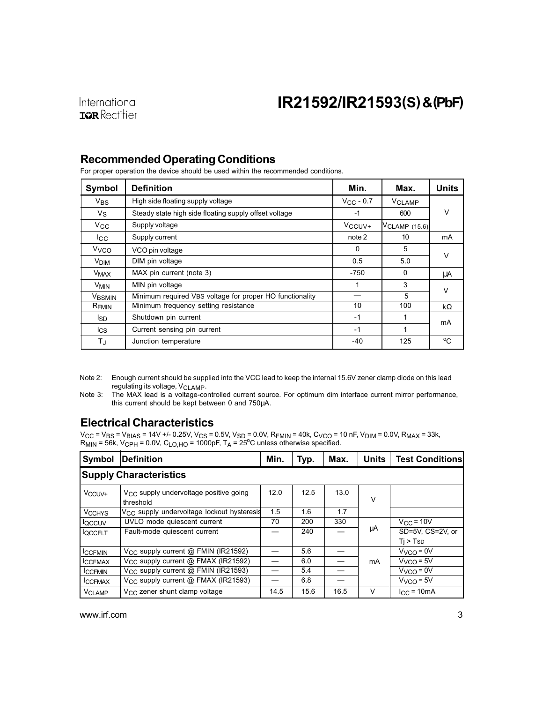### Recommended Operating Conditions

For proper operation the device should be used within the recommended conditions.

| Symbol                 | <b>Definition</b>                                        | Min.            | Max.          | <b>Units</b> |  |  |
|------------------------|----------------------------------------------------------|-----------------|---------------|--------------|--|--|
| $V_{BS}$               | High side floating supply voltage                        | $V_{CC}$ - 0.7  | <b>VCLAMP</b> |              |  |  |
| $V_{\rm S}$            | Steady state high side floating supply offset voltage    | $-1$            | 600           | $\vee$       |  |  |
| $V_{\rm CC}$           | Supply voltage                                           | $V_{\rm CCUV+}$ | VCLAMP (15.6) |              |  |  |
| lcc                    | Supply current                                           | note 2          | 10            | mA           |  |  |
| V <sub>VCO</sub>       | VCO pin voltage                                          | $\Omega$        | 5             | $\vee$       |  |  |
| <b>V<sub>DIM</sub></b> | DIM pin voltage                                          | 0.5             | 5.0           |              |  |  |
| <b>V<sub>MAX</sub></b> | MAX pin current (note 3)                                 | -750            | $\Omega$      | μA           |  |  |
| <b>V<sub>MIN</sub></b> | MIN pin voltage                                          | 1               | 3             | $\vee$       |  |  |
| <b>VBSMIN</b>          | Minimum required VBS voltage for proper HO functionality |                 | 5             |              |  |  |
| $R_{\mathsf{FMIN}}$    | Minimum frequency setting resistance                     | 10              | 100           | $k\Omega$    |  |  |
| lsd.                   | Shutdown pin current                                     | $-1$            |               | mA           |  |  |
| lcs                    | Current sensing pin current                              | $-1$            |               |              |  |  |
| ТJ                     | Junction temperature                                     | -40             | 125           | °C           |  |  |

Note 2: Enough current should be supplied into the VCC lead to keep the internal 15.6V zener clamp diode on this lead regulating its voltage, V<sub>CLAMP</sub>.

Note 3: The MAX lead is a voltage-controlled current source. For optimum dim interface current mirror performance, this current should be kept between 0 and 750µA.

### Electrical Characteristics

Vcc = Vвs = Vвıas = 14V +/- 0.25V, V<sub>CS</sub> = 0.5V, V<sub>SD</sub> = 0.0V, R<sub>FMIN</sub> = 40k, C<sub>VCO</sub> = 10 nF, V<sub>DIM</sub> = 0.0V, R<sub>MAX</sub> = 33k,<br>R<sub>MIN</sub> = 56k, V<sub>CPH</sub> = 0.0V, C<sub>LO,HO</sub> = 1000pF, T<sub>A</sub> = 25°C unless otherwise specified.

| Symbol                   | <b>Definition</b>                                            |      | Typ. | Max. | <b>Units</b> | <b>Test Conditions</b> |
|--------------------------|--------------------------------------------------------------|------|------|------|--------------|------------------------|
|                          | <b>Supply Characteristics</b>                                |      |      |      |              |                        |
| V <sub>CCUV+</sub>       | $V_{\rm CC}$ supply undervoltage positive going<br>threshold |      | 12.5 | 13.0 | $\vee$       |                        |
| <b>V<sub>CCHYS</sub></b> | V <sub>CC</sub> supply undervoltage lockout hysteresis       | 1.5  | 1.6  | 1.7  |              |                        |
| loccuv                   | UVLO mode quiescent current                                  | 70   | 200  | 330  |              | $V_{\text{C}C}$ = 10V  |
| <b>QCCFLT</b>            | Fault-mode quiescent current                                 |      | 240  |      | μA           | SD=5V. CS=2V. or       |
|                          |                                                              |      |      |      |              | Ti > TsD               |
| <b>ICCFMIN</b>           | $V_{CC}$ supply current $@$ FMIN (IR21592)                   |      | 5.6  |      |              | $VVCO = 0V$            |
| <b>CCFMAX</b>            | $V_{CC}$ supply current $@$ FMAX (IR21592)                   |      | 6.0  |      | mA           | $VVCO = 5V$            |
| <b>CCFMIN</b>            | $V_{CC}$ supply current $@$ FMIN (IR21593)                   |      | 5.4  |      |              | $V_{VCA} = 0V$         |
| <b>ICCFMAX</b>           | $V_{CC}$ supply current $@$ FMAX (IR21593)                   |      | 6.8  |      |              | $VVCO = 5V$            |
| <b>V<sub>CLAMP</sub></b> | V <sub>CC</sub> zener shunt clamp voltage                    | 14.5 | 15.6 | 16.5 | $\vee$       | $lcc = 10mA$           |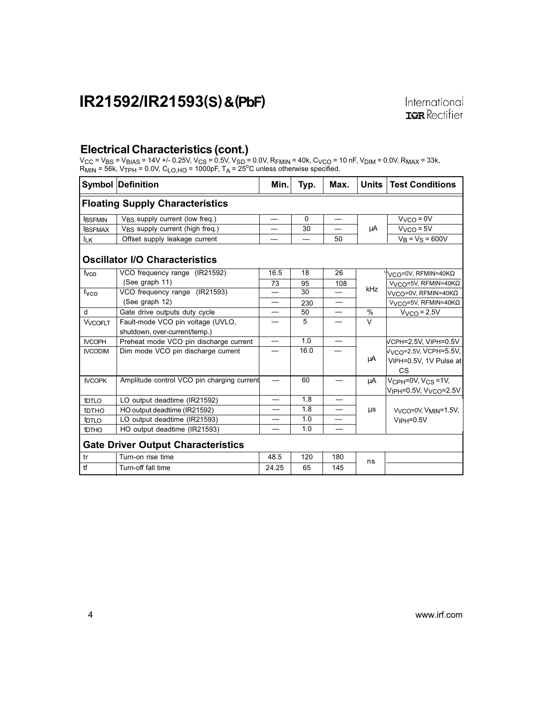### Electrical Characteristics (cont.)

V<sub>CC</sub> = V<sub>BS</sub> = V<sub>BIAS</sub> = 14V +/- 0.25V, V<sub>CS</sub> = 0.5V, V<sub>SD</sub> = 0.0V, R<sub>FMIN</sub> = 40k, C<sub>VCO</sub> = 10 nF, V<sub>DIM</sub> = 0.0V, R<sub>MAX</sub> = 33k,<br>R<sub>MIN</sub> = 56k, V<sub>TPH</sub> = 0.0V, C<sub>LO,HO</sub> = 1000pF, T<sub>A</sub> = 25<sup>o</sup>C unless otherwise specified.

|                   | <b>Symbol Definition</b>                    | Min.                     | Typ.     | Max.                             | <b>Units</b> | <b>Test Conditions</b>                         |
|-------------------|---------------------------------------------|--------------------------|----------|----------------------------------|--------------|------------------------------------------------|
|                   | <b>Floating Supply Characteristics</b>      |                          |          |                                  |              |                                                |
| <b>IBSFMIN</b>    | V <sub>BS</sub> supply current (low freq.)  | $\overline{\phantom{0}}$ | $\Omega$ | $\overbrace{\phantom{12322111}}$ |              | $V_{VCO} = 0V$                                 |
| <b>BSFMAX</b>     | V <sub>BS</sub> supply current (high freq.) |                          | 30       |                                  | μA           | $VVCO = 5V$                                    |
| <b>ILK</b>        | Offset supply leakage current               |                          | —        | 50                               |              | $V_B = V_S = 600V$                             |
|                   | <b>Oscillator I/O Characteristics</b>       |                          |          |                                  |              |                                                |
| fvco              | VCO frequency range (IR21592)               | 16.5                     | 18       | 26                               |              | VCO=0V, RFMIN=40ΚΩ                             |
|                   | (See graph 11)                              | 73                       | 95       | 108                              | kHz          | V <sub>VCO</sub> =5V, RFMIN=40KΩ               |
| fyco              | VCO frequency range (IR21593)               |                          | 30       |                                  |              | V <sub>VCO</sub> =0V, RFMIN=40ΚΩ               |
|                   | (See graph 12)                              |                          | 230      |                                  |              | V <sub>VCO</sub> =5V, RFMIN=40K $\Omega$       |
| d                 | Gate drive outputs duty cycle               |                          | 50       |                                  | $\%$         | $VVCO = 2.5V$                                  |
| <b>VVCOFLT</b>    | Fault-mode VCO pin voltage (UVLO,           |                          | 5        |                                  | $\vee$       |                                                |
|                   | shutdown, over-current/temp.)               |                          |          |                                  |              |                                                |
| <b>IVCOPH</b>     | Preheat mode VCO pin discharge current      |                          | 1.0      | $\overline{\phantom{0}}$         |              | VCPH=2.5V, VIPH=0.5V                           |
| <b>IVCODIM</b>    | Dim mode VCO pin discharge current          |                          | 16.0     |                                  |              | Vvco=2.5V, VCPH=5.5V,                          |
|                   |                                             |                          |          |                                  | μA           | VIPH=0.5V, 1V Pulse at                         |
|                   |                                             |                          |          |                                  |              | <b>CS</b>                                      |
| <b>IVCOPK</b>     | Amplitude control VCO pin charging current  |                          | 60       |                                  | μA           | $V_{\text{CPH}} = 0V$ , $V_{\text{CS}} = 1V$ , |
|                   |                                             |                          |          |                                  |              | V <sub>IPH</sub> =0.5V, V <sub>VCO</sub> =2.5V |
| t <sub>DTLO</sub> | LO output deadtime (IR21592)                |                          | 1.8      |                                  |              |                                                |
| t <sub>DTHO</sub> | HO output deadtime (IR21592)                |                          | 1.8      |                                  | μs           | V <sub>VCO</sub> =0V, V <sub>MIN</sub> =1.5V,  |
| t <sub>DTLO</sub> | LO output deadtime (IR21593)                |                          | 1.0      |                                  |              | $VIPH=0.5V$                                    |
| <b>t</b> DTHO     | HO output deadtime (IR21593)                |                          | 1.0      |                                  |              |                                                |
|                   | <b>Gate Driver Output Characteristics</b>   |                          |          |                                  |              |                                                |
| tr                | Turn-on rise time                           | 48.5                     | 120      | 180                              | ns           |                                                |
| tf                | Turn-off fall time                          | 24.25                    | 65       | 145                              |              |                                                |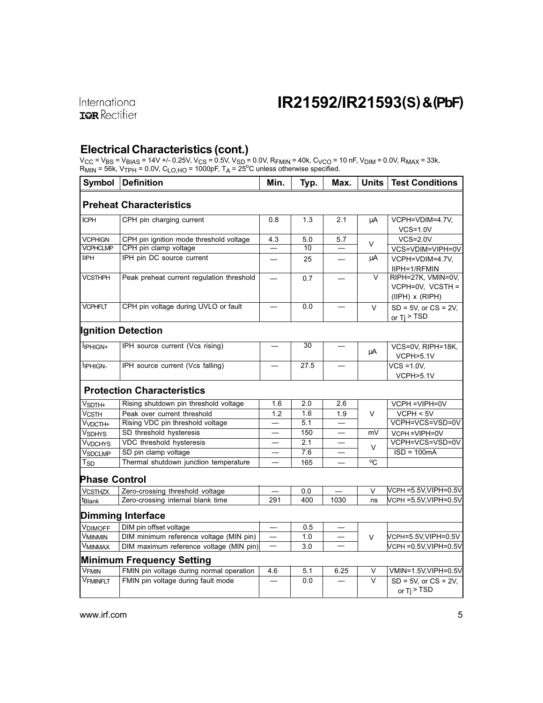## Electrical Characteristics (cont.)

V<sub>CC</sub> = V<sub>BS</sub> = V<sub>BIAS</sub> = 14V +/- 0.25V, V<sub>CS</sub> = 0.5V, V<sub>SD</sub> = 0.0V, R<sub>FMIN</sub> = 40k, C<sub>VCO</sub> = 10 nF, V<sub>DIM</sub> = 0.0V, R<sub>MAX</sub> = 33k,<br>R<sub>MIN</sub> = 56k, V<sub>TPH</sub> = 0.0V, C<sub>LO,HO</sub> = 1000pF, T<sub>A</sub> = 25<sup>o</sup>C unless otherwise specified.

| <b>Symbol</b>                  | <b>Definition</b>                         | Min.                     | Typ. | Max.                     | <b>Units</b> | <b>Test Conditions</b>                                       |
|--------------------------------|-------------------------------------------|--------------------------|------|--------------------------|--------------|--------------------------------------------------------------|
|                                | <b>Preheat Characteristics</b>            |                          |      |                          |              |                                                              |
| <b>ICPH</b>                    | CPH pin charging current                  | 0.8                      | 1.3  | 2.1                      | μA           | VCPH=VDIM=4.7V,                                              |
|                                |                                           |                          |      |                          |              | $VCS=1.0V$                                                   |
| <b>VCPHIGN</b>                 | CPH pin ignition mode threshold voltage   | 4.3                      | 5.0  | 5.7                      | V            | $VCS = 2.0V$                                                 |
| <b>VCPHCLMP</b>                | CPH pin clamp voltage                     |                          | 10   |                          |              | VCS=VDIM=VIPH=0V                                             |
| <b>IIPH</b>                    | IPH pin DC source current                 |                          | 25   |                          | μA           | VCPH=VDIM=4.7V,                                              |
|                                |                                           |                          |      |                          |              | IIPH=1/RFMIN                                                 |
| <b>VCSTHPH</b>                 | Peak preheat current regulation threshold |                          | 0.7  |                          | $\vee$       | RIPH=27K, VMIN=0V,<br>VCPH=0V, VCSTH=<br>$(IIPH)$ x $(RIPH)$ |
| <b>VCPHFLT</b>                 | CPH pin voltage during UVLO or fault      |                          | 0.0  | $\overline{\phantom{0}}$ | $\vee$       | $SD = 5V$ , or $CS = 2V$ ,<br>or $Ti > TSD$                  |
|                                | <b>Ignition Detection</b>                 |                          |      |                          |              |                                                              |
| l <sub>IPHIGN+</sub>           | IPH source current (Vcs rising)           |                          | 30   |                          | μA           | VCS=0V, RIPH=18K,<br>VCPH>5.1V                               |
| <b>IPHIGN-</b>                 | IPH source current (Vcs falling)          |                          | 27.5 |                          |              | $VCS = 1.0V$ .<br>VCPH>5.1V                                  |
|                                | <b>Protection Characteristics</b>         |                          |      |                          |              |                                                              |
| V <sub>SDTH+</sub>             | Rising shutdown pin threshold voltage     | 1.6                      | 2.0  | 2.6                      |              | VCPH = VIPH=0V                                               |
| Vcsтн                          | Peak over current threshold               | 1.2                      | 1.6  | 1.9                      | $\vee$       | VCPH < 5V                                                    |
| $\overline{V}_{V\text{DCTH+}}$ | Rising VDC pin threshold voltage          |                          | 5.1  | $\overline{\phantom{0}}$ |              | VCPH=VCS=VSD=0V                                              |
| V <sub>SDHYS</sub>             | SD threshold hysteresis                   |                          | 150  |                          | mV           | VCPH=VIPH=0V                                                 |
| V <sub>VDCHYS</sub>            | VDC threshold hysteresis                  |                          | 2.1  |                          | V            | VCPH=VCS=VSD=0V                                              |
| VSDCLMP                        | SD pin clamp voltage                      |                          | 7.6  |                          |              | $ISD = 100mA$                                                |
| Tsp                            | Thermal shutdown junction temperature     |                          | 165  |                          | °C           |                                                              |
| <b>Phase Control</b>           |                                           |                          |      |                          |              |                                                              |
| <b>VCSTHZX</b>                 | Zero-crossing threshold voltage           |                          | 0.0  |                          | $\vee$       | VCPH =5.5V,VIPH=0.5V                                         |
| <sup>t</sup> Blank             | Zero-crossing internal blank time         | 291                      | 400  | 1030                     | ns           | VcPн =5.5V,VIPH=0.5V                                         |
|                                | Dimming Interface                         |                          |      |                          |              |                                                              |
| <b>VDIMOFF</b>                 | DIM pin offset voltage                    |                          | 0.5  |                          |              |                                                              |
| <b>VMINMIN</b>                 | DIM minimum reference voltage (MIN pin)   | $\overline{\phantom{0}}$ | 1.0  |                          | V            | VCPH=5.5V,VIPH=0.5V                                          |
| VMINMAX                        | DIM maximum reference voltage (MIN pin)   | $\overline{\phantom{0}}$ | 3.0  |                          |              | VcPн =0.5V,VIPH=0.5V                                         |
|                                | <b>Minimum Frequency Setting</b>          |                          |      |                          |              |                                                              |
| V <sub>FMIN</sub>              | FMIN pin voltage during normal operation  | 4.6                      | 5.1  | 6.25                     | V            | VMIN=1.5V,VIPH=0.5V                                          |
| <b>VFMINFLT</b>                | FMIN pin voltage during fault mode        |                          | 0.0  |                          | $\vee$       | $SD = 5V$ , or $CS = 2V$ ,<br>or $Ti$ > TSD                  |
|                                |                                           |                          |      |                          |              |                                                              |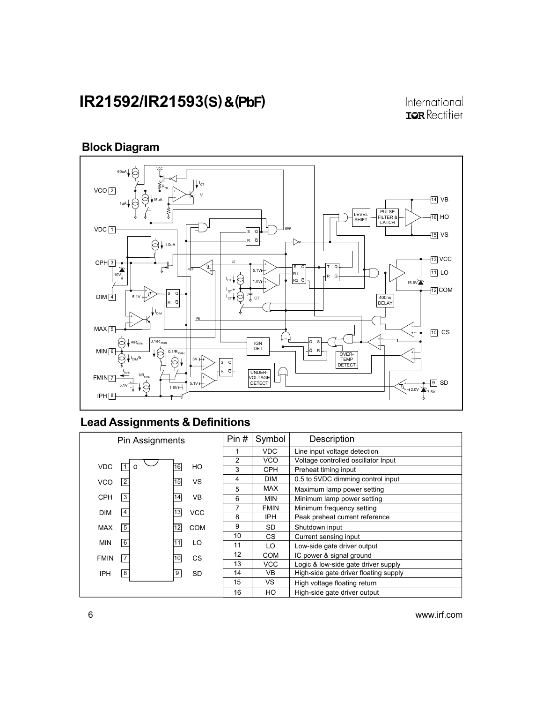International **IOR** Rectifier

## Block Diagram



## Lead Assignments & Definitions

|             | Pin Assignments  |    |            | Pin#           | Symbol      | Description                           |
|-------------|------------------|----|------------|----------------|-------------|---------------------------------------|
|             |                  |    |            |                | <b>VDC</b>  | Line input voltage detection          |
|             |                  |    |            | 2              | VCO         | Voltage controlled oscillator Input   |
| <b>VDC</b>  |                  | 16 | HO         | 3              | <b>CPH</b>  | Preheat timing input                  |
| <b>VCO</b>  | $\overline{2}$   | 15 | <b>VS</b>  | 4              | <b>DIM</b>  | 0.5 to 5VDC dimming control input     |
|             |                  |    |            | 5              | <b>MAX</b>  | Maximum lamp power setting            |
| <b>CPH</b>  | $\overline{3}$   | 14 | <b>VB</b>  | 6              | <b>MIN</b>  | Minimum lamp power setting            |
| <b>DIM</b>  | $\overline{4}$   | 13 | <b>VCC</b> | $\overline{7}$ | <b>FMIN</b> | Minimum frequency setting             |
|             |                  |    |            | 8              | <b>IPH</b>  | Peak preheat current reference        |
| <b>MAX</b>  | $\overline{5}$   | 12 | COM        | 9              | SD          | Shutdown input                        |
|             |                  |    |            | 10             | CS.         | Current sensing input                 |
| <b>MIN</b>  | $\overline{6}$   | 11 | LO         | 11             | LO          | Low-side gate driver output           |
| <b>FMIN</b> | $\overline{7}$   | 10 | CS         | 12             | <b>COM</b>  | IC power & signal ground              |
|             |                  |    |            | 13             | <b>VCC</b>  | Logic & low-side gate driver supply   |
| <b>IPH</b>  | $\boldsymbol{8}$ | 9  | <b>SD</b>  | 14             | VB          | High-side gate driver floating supply |
|             |                  |    |            | 15             | VS.         | High voltage floating return          |
|             |                  |    |            | 16             | HO          | High-side gate driver output          |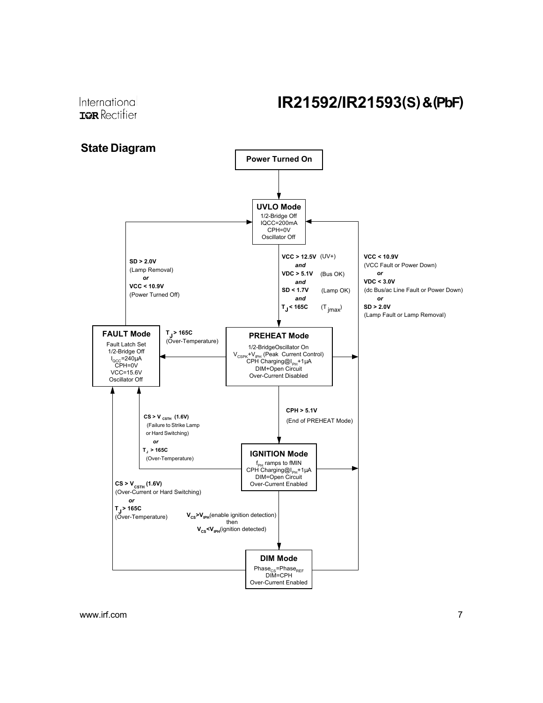International **ISR** Rectifier

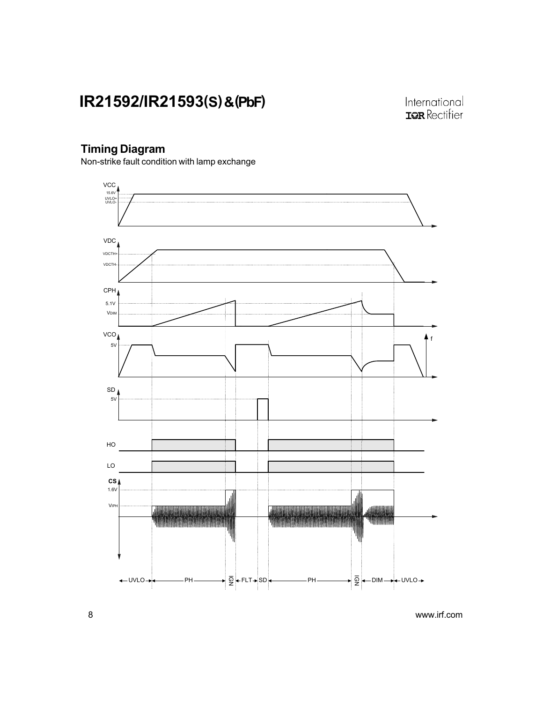International **IOR** Rectifier

## Timing Diagram

Non-strike fault condition with lamp exchange

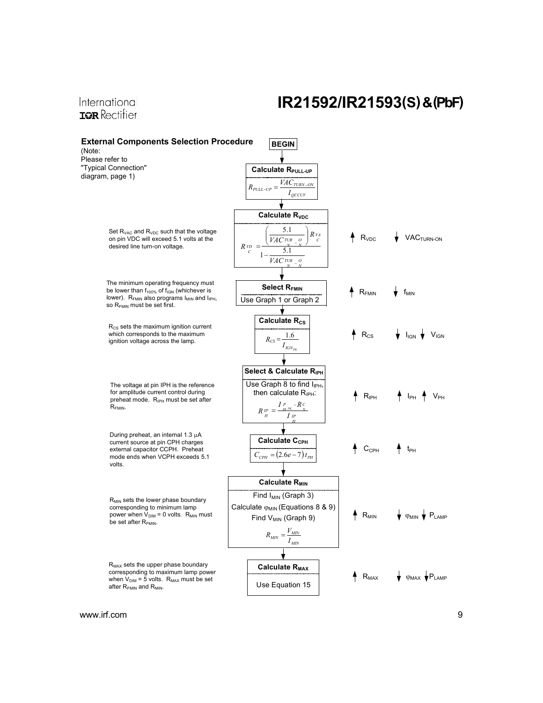### International **IOR** Rectifier

## IR21592/IR21593(S) & (PbF)

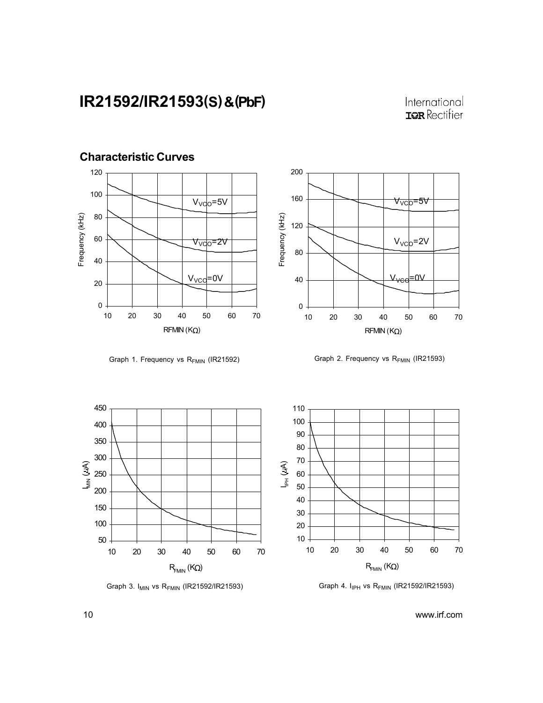Characteristic Curves

## International **IOR** Rectifier





Graph 1. Frequency vs  $R_{FMIN}$  (IR21592) Graph 2. Frequency vs  $R_{FMIN}$  (IR21593)





Graph 3.  $I_{MIN}$  vs R<sub>FMIN</sub> (IR21592/IR21593) Graph 4.  $I_{IPH}$  vs R<sub>FMIN</sub> (IR21592/IR21593)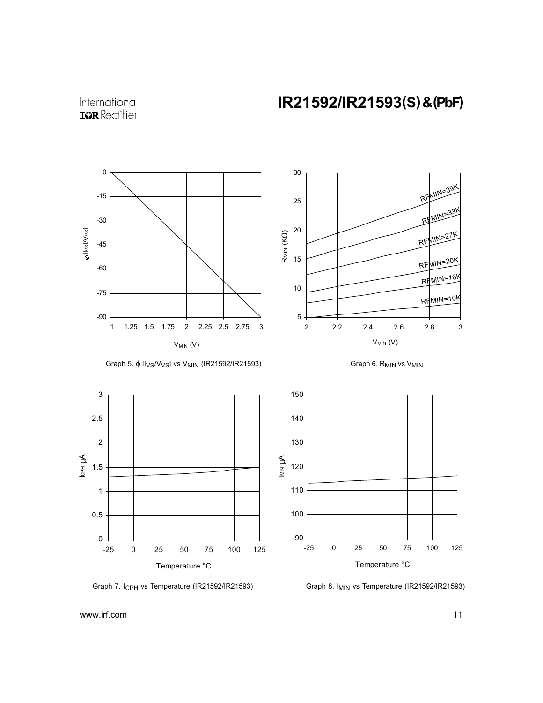International **IQR** Rectifier



Graph 5. φ II<sub>VS</sub>/V<sub>VS</sub>I vs V<sub>MIN</sub> (IR21592/IR21593)









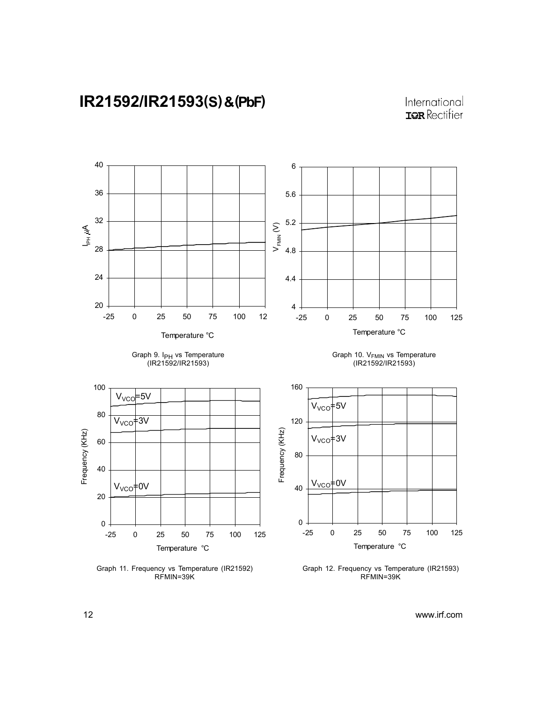







Graph 11. Frequency vs Temperature (IR21592) RFMIN=39K

Graph 10. V<sub>FMIN</sub> vs Temperature (IR21592/IR21593)



Graph 12. Frequency vs Temperature (IR21593) RFMIN=39K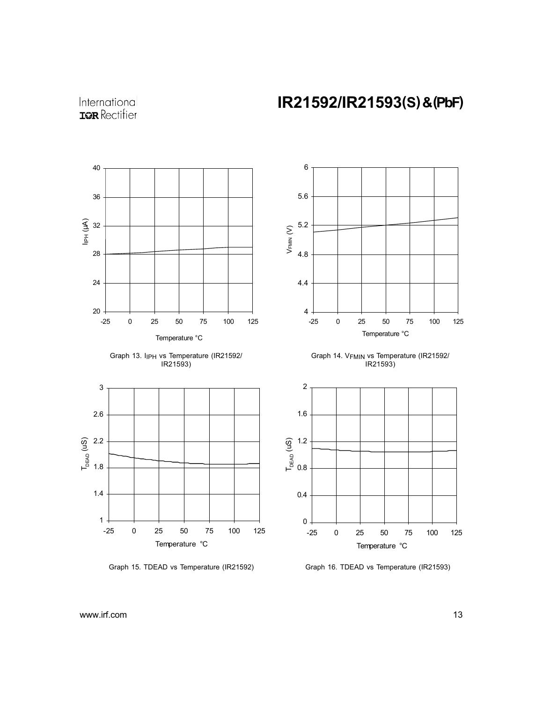International **IQR** Rectifier









Graph 14. V<sub>FMIN</sub> vs Temperature (IR21592/ IR21593)



Graph 15. TDEAD vs Temperature (IR21592) Graph 16. TDEAD vs Temperature (IR21593)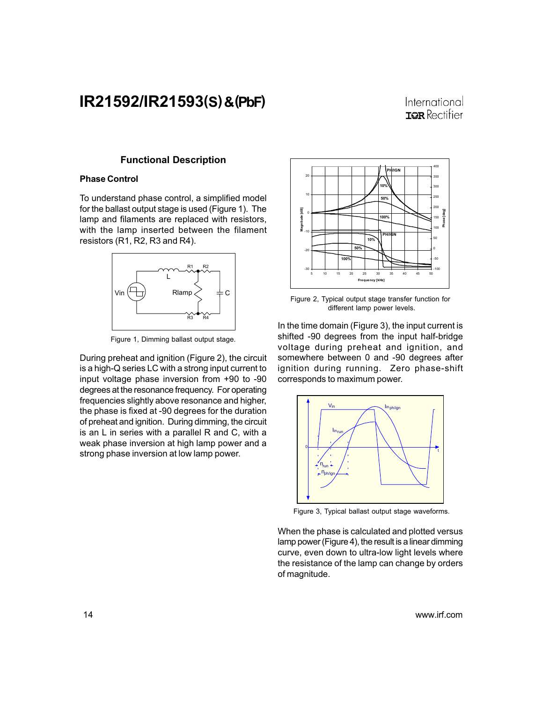### International **TOR** Rectifier

#### Functional Description

#### Phase Control

To understand phase control, a simplified model for the ballast output stage is used (Figure 1). The lamp and filaments are replaced with resistors, with the lamp inserted between the filament resistors (R1, R2, R3 and R4).



Figure 1, Dimming ballast output stage.

During preheat and ignition (Figure 2), the circuit is a high-Q series LC with a strong input current to input voltage phase inversion from +90 to -90 degrees at the resonance frequency. For operating frequencies slightly above resonance and higher, the phase is fixed at -90 degrees for the duration of preheat and ignition. During dimming, the circuit is an L in series with a parallel R and C, with a weak phase inversion at high lamp power and a strong phase inversion at low lamp power.



Figure 2, Typical output stage transfer function for different lamp power levels.

In the time domain (Figure 3), the input current is shifted -90 degrees from the input half-bridge voltage during preheat and ignition, and somewhere between 0 and -90 degrees after ignition during running. Zero phase-shift corresponds to maximum power.



Figure 3, Typical ballast output stage waveforms.

When the phase is calculated and plotted versus lamp power (Figure 4), the result is a linear dimming curve, even down to ultra-low light levels where the resistance of the lamp can change by orders of magnitude.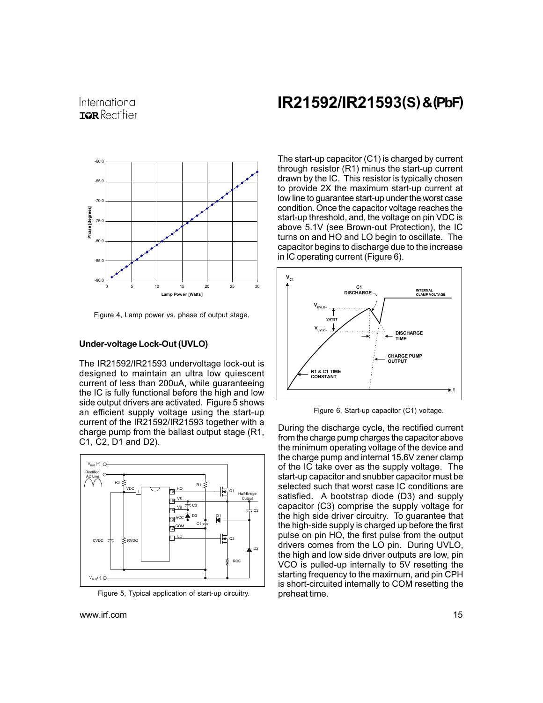

Figure 4, Lamp power vs. phase of output stage.

#### Under-voltage Lock-Out (UVLO)

The IR21592/IR21593 undervoltage lock-out is designed to maintain an ultra low quiescent current of less than 200uA, while guaranteeing the IC is fully functional before the high and low side output drivers are activated. Figure 5 shows an efficient supply voltage using the start-up current of the IR21592/IR21593 together with a charge pump from the ballast output stage (R1, C1, C2, D1 and D2).



Figure 5, Typical application of start-up circuitry. preheat time.

## IR21592/IR21593(S) & (PbF)

The start-up capacitor (C1) is charged by current through resistor (R1) minus the start-up current drawn by the IC. This resistor is typically chosen to provide 2X the maximum start-up current at low line to guarantee start-up under the worst case condition. Once the capacitor voltage reaches the start-up threshold, and, the voltage on pin VDC is above 5.1V (see Brown-out Protection), the IC turns on and HO and LO begin to oscillate. The capacitor begins to discharge due to the increase in IC operating current (Figure 6).



Figure 6, Start-up capacitor (C1) voltage.

During the discharge cycle, the rectified current from the charge pump charges the capacitor above the minimum operating voltage of the device and the charge pump and internal 15.6V zener clamp of the IC take over as the supply voltage. The start-up capacitor and snubber capacitor must be selected such that worst case IC conditions are satisfied. A bootstrap diode (D3) and supply capacitor (C3) comprise the supply voltage for the high side driver circuitry. To guarantee that the high-side supply is charged up before the first pulse on pin HO, the first pulse from the output drivers comes from the LO pin. During UVLO, the high and low side driver outputs are low, pin VCO is pulled-up internally to 5V resetting the starting frequency to the maximum, and pin CPH is short-circuited internally to COM resetting the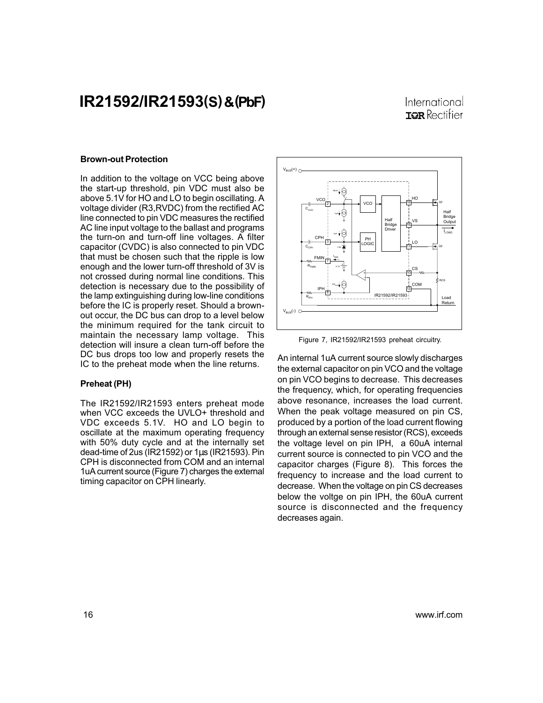### International **TOR** Rectifier

#### Brown-out Protection

In addition to the voltage on VCC being above the start-up threshold, pin VDC must also be above 5.1V for HO and LO to begin oscillating. A voltage divider (R3,RVDC) from the rectified AC line connected to pin VDC measures the rectified AC line input voltage to the ballast and programs the turn-on and turn-off line voltages. A filter capacitor (CVDC) is also connected to pin VDC that must be chosen such that the ripple is low enough and the lower turn-off threshold of 3V is not crossed during normal line conditions. This detection is necessary due to the possibility of the lamp extinguishing during low-line conditions before the IC is properly reset. Should a brownout occur, the DC bus can drop to a level below the minimum required for the tank circuit to maintain the necessary lamp voltage. This detection will insure a clean turn-off before the DC bus drops too low and properly resets the IC to the preheat mode when the line returns.

#### Preheat (PH)

The IR21592/IR21593 enters preheat mode when VCC exceeds the UVLO+ threshold and VDC exceeds 5.1V. HO and LO begin to oscillate at the maximum operating frequency with 50% duty cycle and at the internally set dead-time of 2us (IR21592) or 1µs (IR21593). Pin CPH is disconnected from COM and an internal 1uA current source (Figure 7) charges the external timing capacitor on CPH linearly.



Figure 7, IR21592/IR21593 preheat circuitry.

An internal 1uA current source slowly discharges the external capacitor on pin VCO and the voltage on pin VCO begins to decrease. This decreases the frequency, which, for operating frequencies above resonance, increases the load current. When the peak voltage measured on pin CS, produced by a portion of the load current flowing through an external sense resistor (RCS), exceeds the voltage level on pin IPH, a 60uA internal current source is connected to pin VCO and the capacitor charges (Figure 8). This forces the frequency to increase and the load current to decrease. When the voltage on pin CS decreases below the voltge on pin IPH, the 60uA current source is disconnected and the frequency decreases again.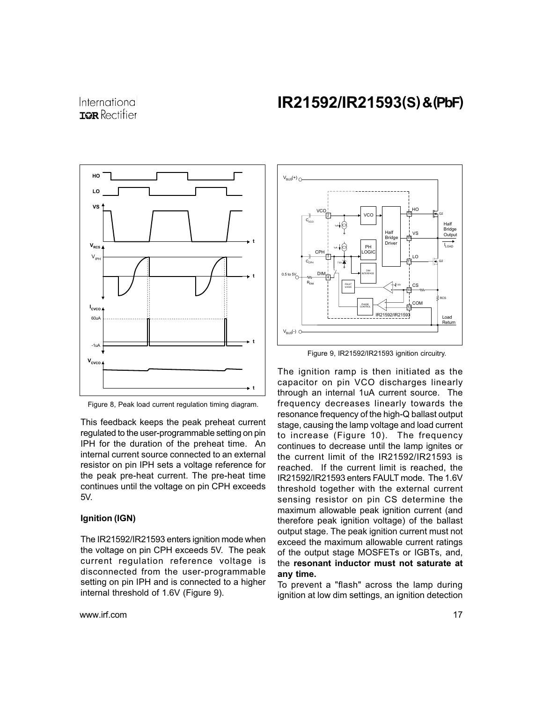International **TOR** Rectifier



Figure 8, Peak load current regulation timing diagram.

This feedback keeps the peak preheat current regulated to the user-programmable setting on pin IPH for the duration of the preheat time. An internal current source connected to an external resistor on pin IPH sets a voltage reference for the peak pre-heat current. The pre-heat time continues until the voltage on pin CPH exceeds 5V.

#### Ignition (IGN)

The IR21592/IR21593 enters ignition mode when the voltage on pin CPH exceeds 5V. The peak current regulation reference voltage is disconnected from the user-programmable setting on pin IPH and is connected to a higher internal threshold of 1.6V (Figure 9).



Figure 9, IR21592/IR21593 ignition circuitry.

The ignition ramp is then initiated as the capacitor on pin VCO discharges linearly through an internal 1uA current source. The frequency decreases linearly towards the resonance frequency of the high-Q ballast output stage, causing the lamp voltage and load current to increase (Figure 10). The frequency continues to decrease until the lamp ignites or the current limit of the IR21592/IR21593 is reached. If the current limit is reached, the IR21592/IR21593 enters FAULT mode. The 1.6V threshold together with the external current sensing resistor on pin CS determine the maximum allowable peak ignition current (and therefore peak ignition voltage) of the ballast output stage. The peak ignition current must not exceed the maximum allowable current ratings of the output stage MOSFETs or IGBTs, and, the resonant inductor must not saturate at any time.

To prevent a "flash" across the lamp during ignition at low dim settings, an ignition detection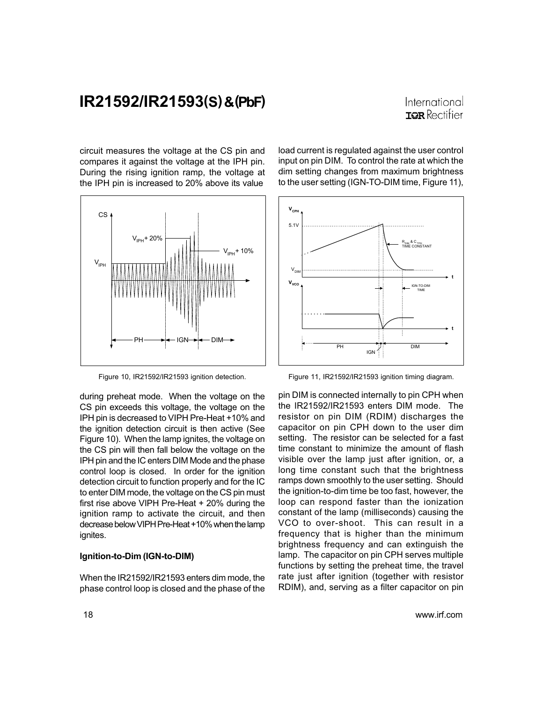### International **ISR** Rectifier

circuit measures the voltage at the CS pin and compares it against the voltage at the IPH pin. During the rising ignition ramp, the voltage at the IPH pin is increased to 20% above its value



Figure 10, IR21592/IR21593 ignition detection.

during preheat mode. When the voltage on the CS pin exceeds this voltage, the voltage on the IPH pin is decreased to VIPH Pre-Heat +10% and the ignition detection circuit is then active (See Figure 10). When the lamp ignites, the voltage on the CS pin will then fall below the voltage on the IPH pin and the IC enters DIM Mode and the phase control loop is closed. In order for the ignition detection circuit to function properly and for the IC to enter DIM mode, the voltage on the CS pin must first rise above VIPH Pre-Heat + 20% during the ignition ramp to activate the circuit, and then decrease below VIPH Pre-Heat +10% when the lamp ignites.

#### Ignition-to-Dim (IGN-to-DIM)

When the IR21592/IR21593 enters dim mode, the phase control loop is closed and the phase of the

load current is regulated against the user control input on pin DIM. To control the rate at which the dim setting changes from maximum brightness to the user setting (IGN-TO-DIM time, Figure 11),



Figure 11, IR21592/IR21593 ignition timing diagram.

pin DIM is connected internally to pin CPH when the IR21592/IR21593 enters DIM mode. The resistor on pin DIM (RDIM) discharges the capacitor on pin CPH down to the user dim setting. The resistor can be selected for a fast time constant to minimize the amount of flash visible over the lamp just after ignition, or, a long time constant such that the brightness ramps down smoothly to the user setting. Should the ignition-to-dim time be too fast, however, the loop can respond faster than the ionization constant of the lamp (milliseconds) causing the VCO to over-shoot. This can result in a frequency that is higher than the minimum brightness frequency and can extinguish the lamp. The capacitor on pin CPH serves multiple functions by setting the preheat time, the travel rate just after ignition (together with resistor RDIM), and, serving as a filter capacitor on pin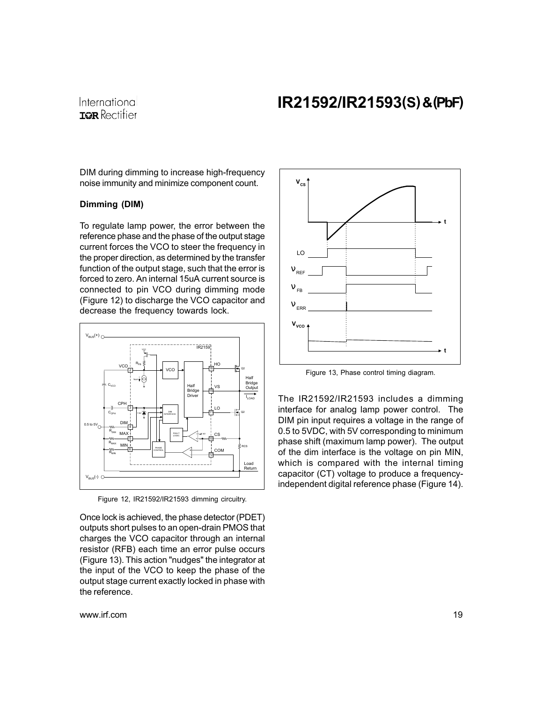International **IOR** Rectifier

DIM during dimming to increase high-frequency noise immunity and minimize component count.

### Dimming (DIM)

To regulate lamp power, the error between the reference phase and the phase of the output stage current forces the VCO to steer the frequency in the proper direction, as determined by the transfer function of the output stage, such that the error is forced to zero. An internal 15uA current source is connected to pin VCO during dimming mode (Figure 12) to discharge the VCO capacitor and decrease the frequency towards lock.



Figure 12, IR21592/IR21593 dimming circuitry.

Once lock is achieved, the phase detector (PDET) outputs short pulses to an open-drain PMOS that charges the VCO capacitor through an internal resistor (RFB) each time an error pulse occurs (Figure 13). This action "nudges" the integrator at the input of the VCO to keep the phase of the output stage current exactly locked in phase with the reference.



Figure 13, Phase control timing diagram.

The IR21592/IR21593 includes a dimming interface for analog lamp power control. The DIM pin input requires a voltage in the range of 0.5 to 5VDC, with 5V corresponding to minimum phase shift (maximum lamp power). The output of the dim interface is the voltage on pin MIN, which is compared with the internal timing capacitor (CT) voltage to produce a frequencyindependent digital reference phase (Figure 14).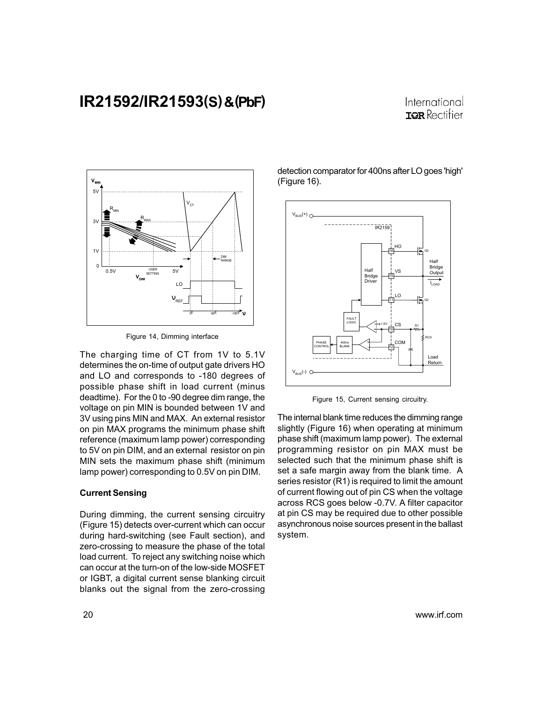### International **ISR** Rectifier



Figure 14, Dimming interface

The charging time of CT from 1V to 5.1V determines the on-time of output gate drivers HO and LO and corresponds to -180 degrees of possible phase shift in load current (minus deadtime). For the 0 to -90 degree dim range, the voltage on pin MIN is bounded between 1V and 3V using pins MIN and MAX. An external resistor on pin MAX programs the minimum phase shift reference (maximum lamp power) corresponding to 5V on pin DIM, and an external resistor on pin MIN sets the maximum phase shift (minimum lamp power) corresponding to 0.5V on pin DIM.

#### Current Sensing

During dimming, the current sensing circuitry (Figure 15) detects over-current which can occur during hard-switching (see Fault section), and zero-crossing to measure the phase of the total load current. To reject any switching noise which can occur at the turn-on of the low-side MOSFET or IGBT, a digital current sense blanking circuit blanks out the signal from the zero-crossing detection comparator for 400ns after LO goes 'high' (Figure 16).



Figure 15, Current sensing circuitry.

The internal blank time reduces the dimming range slightly (Figure 16) when operating at minimum phase shift (maximum lamp power). The external programming resistor on pin MAX must be selected such that the minimum phase shift is set a safe margin away from the blank time. A series resistor (R1) is required to limit the amount of current flowing out of pin CS when the voltage across RCS goes below -0.7V. A filter capacitor at pin CS may be required due to other possible asynchronous noise sources present in the ballast system.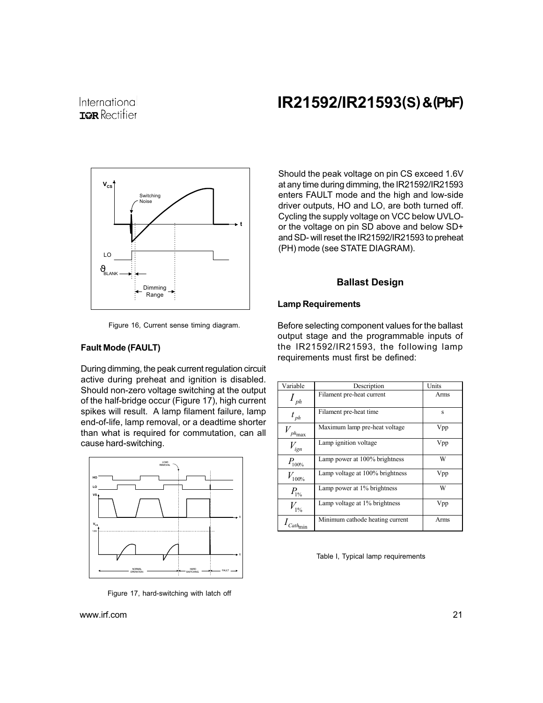### International **IOR** Rectifier

## IR21592/IR21593(S) & (PbF)



Figure 16, Current sense timing diagram.

### Fault Mode (FAULT)

During dimming, the peak current regulation circuit active during preheat and ignition is disabled. Should non-zero voltage switching at the output of the half-bridge occur (Figure 17), high current spikes will result. A lamp filament failure, lamp end-of-life, lamp removal, or a deadtime shorter than what is required for commutation, can all cause hard-switching.



Figure 17, hard-switching with latch off

Should the peak voltage on pin CS exceed 1.6V at any time during dimming, the IR21592/IR21593 enters FAULT mode and the high and low-side driver outputs, HO and LO, are both turned off. Cycling the supply voltage on VCC below UVLOor the voltage on pin SD above and below SD+ and SD- will reset the IR21592/IR21593 to preheat (PH) mode (see STATE DIAGRAM).

#### Ballast Design

#### Lamp Requirements

Before selecting component values for the ballast output stage and the programmable inputs of the IR21592/IR21593, the following lamp requirements must first be defined:

| Variable                         | Description                     | Units |
|----------------------------------|---------------------------------|-------|
| $\frac{1}{ph}$                   | Filament pre-heat current       | Arms  |
| $t_{ph}$                         | Filament pre-heat time          | S     |
| $ph_{\mbox{\footnotesize{max}}}$ | Maximum lamp pre-heat voltage   | Vpp   |
| $V_{ign}$                        | Lamp ignition voltage           | Vpp   |
| $P_{100\%}$                      | Lamp power at 100% brightness   | W     |
| $V_{\rm 100\%}$                  | Lamp voltage at 100% brightness | Vpp   |
| $P_{1%}$                         | Lamp power at 1% brightness     | W     |
| $V_{1%}$                         | Lamp voltage at 1% brightness   | Vpp   |
|                                  | Minimum cathode heating current | Arms  |

Table I, Typical lamp requirements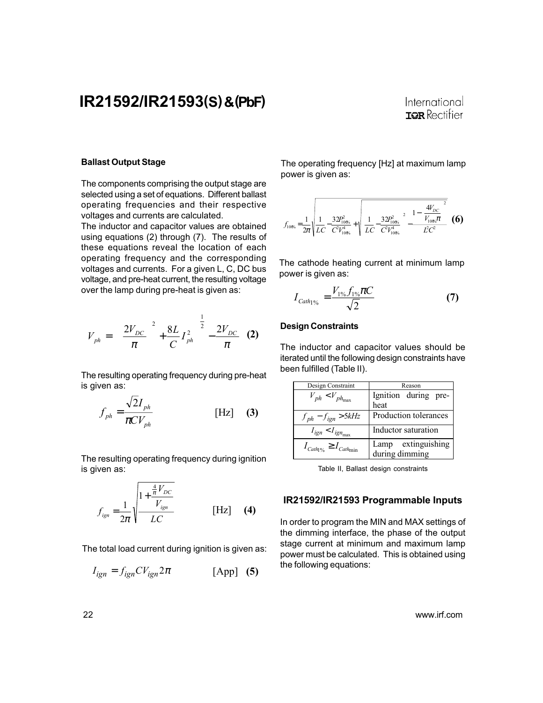### International **TOR** Rectifier

#### Ballast Output Stage

The components comprising the output stage are selected using a set of equations. Different ballast operating frequencies and their respective voltages and currents are calculated.

The inductor and capacitor values are obtained using equations (2) through (7). The results of these equations reveal the location of each operating frequency and the corresponding voltages and currents. For a given L, C, DC bus voltage, and pre-heat current, the resulting voltage over the lamp during pre-heat is given as:

$$
V_{ph} = \left[ \left( \frac{2V_{DC}}{\pi} \right)^2 + \frac{8L}{C} I_{ph}^2 \right]^{\frac{1}{2}} - \frac{2V_{DC}}{\pi} \quad (2)
$$

The resulting operating frequency during pre-heat is given as:

$$
f_{ph} = \frac{\sqrt{2I_{ph}}}{\pi CV_{ph}}
$$
 [Hz] (3)

The resulting operating frequency during ignition is given as:

$$
f_{ign} = \frac{1}{2\pi} \sqrt{\frac{1 + \frac{\frac{4}{\pi}V_{DC}}{V_{ign}}}{LC}}
$$
 [Hz] (4)

The total load current during ignition is given as:

$$
I_{ign} = f_{ign}CV_{ign}2\pi
$$
 [App] (5)

The operating frequency [Hz] at maximum lamp power is given as:

$$
f_{100\text{s}} = \frac{1}{2\pi} \sqrt{\frac{1}{LC} - \frac{32P_{100\text{s}}^2}{C^2V_{100\text{s}}^4} + \sqrt{\left[\frac{1}{LC} - \frac{32P_{100\text{s}}^2}{C^2V_{100\text{s}}^4}\right]^2 - \frac{1 - \left(\frac{4V_{DC}}{V_{100\text{s}}\pi}\right)^2}{\dot{LC}^2}}}
$$
 (6)

The cathode heating current at minimum lamp power is given as:

$$
I_{Cath_{1}\%} = \frac{V_{1\%} f_{1\%} \pi C}{\sqrt{2}} \tag{7}
$$

#### Design Constraints

The inductor and capacitor values should be iterated until the following design constraints have been fulfilled (Table II).

| Design Constraint                                               | Reason                               |
|-----------------------------------------------------------------|--------------------------------------|
| $V_{ph}$ < $V_{ph_{\text{max}}}$                                | Ignition during pre-<br>heat         |
| $f_{ph} - f_{ign} > 5kHz$                                       | Production tolerances                |
| $I_{ign} < I_{ign_{max}}$                                       | Inductor saturation                  |
| $I_{\text{Cath}_{\text{I}}\%}\geq I_{\text{Cath}_{\text{min}}}$ | Lamp extinguishing<br>during dimming |

Table II, Ballast design constraints

#### IR21592/IR21593 Programmable Inputs

In order to program the MIN and MAX settings of the dimming interface, the phase of the output stage current at minimum and maximum lamp power must be calculated. This is obtained using the following equations: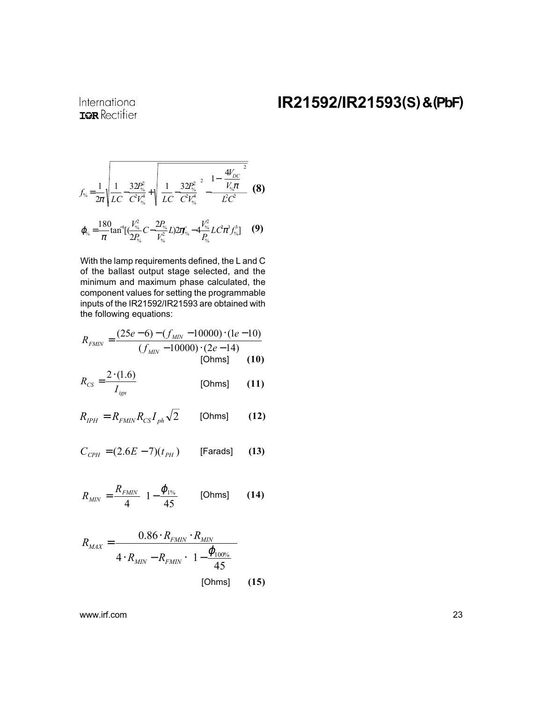International **IOR** Rectifier

$$
f_{\gamma_6} = \frac{1}{2\pi} \sqrt{\frac{1}{LC} \frac{32P_{\gamma_6}^2}{C^2 V_{\gamma_6}^4} + \sqrt{\left[\frac{1}{LC} \frac{32P_{\gamma_6}^2}{C^2 V_{\gamma_6}^4}\right]^2 - \frac{1 - \left(\frac{4V_{DC}}{V_{\gamma_6}\pi}\right)^2}{LC^2}}}
$$
(8)  

$$
\varphi_{\gamma_6} = \frac{180}{\pi} \tan^{-1} \left[\frac{V_{\gamma_6}^2}{2P_{\gamma_6}} C - \frac{2P_{\gamma_6}}{V_{\gamma_6}^2} L \right] 22\pi f_{\gamma_6} - 4\frac{V_{\gamma_6}^2}{P_{\gamma_6}} L C \pi^3 f_{\gamma_6}^3 \right]
$$
(9)

%

With the lamp requirements defined, the L and C of the ballast output stage selected, and the minimum and maximum phase calculated, the component values for setting the programmable inputs of the IR21592/IR21593 are obtained with the following equations:

%

$$
R_{FMIN} = \frac{(25e-6) - (f_{MIN} - 10000) \cdot (1e-10)}{(f_{MIN} - 10000) \cdot (2e-14)}
$$
  
[Ohms] (10)

$$
R_{CS} = \frac{2 \cdot (1.6)}{I_{ign}} \tag{11}
$$

$$
R_{IPH} = R_{FMIN} R_{CS} I_{ph} \sqrt{2}
$$
 [Ohms] (12)

$$
C_{\text{CPH}} = (2.6E - 7)(t_{\text{PH}}) \qquad \text{[Farads]} \qquad (13)
$$

$$
R_{MIN} = \frac{R_{FMIN}}{4} \left( 1 - \frac{\varphi_{1\%}}{45} \right) \quad \text{[Ohms]} \tag{14}
$$

$$
R_{MAX} = \frac{0.86 \cdot R_{FMIN} \cdot R_{MIN}}{4 \cdot R_{MIN} - R_{FMIN} \cdot \left(1 - \frac{\varphi_{100\%}}{45}\right)}
$$
 [Ohms] (15)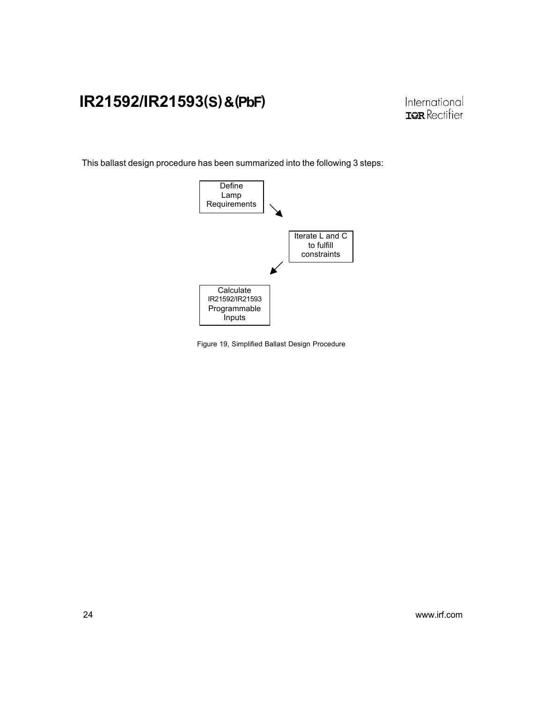This ballast design procedure has been summarized into the following 3 steps:



Figure 19, Simplified Ballast Design Procedure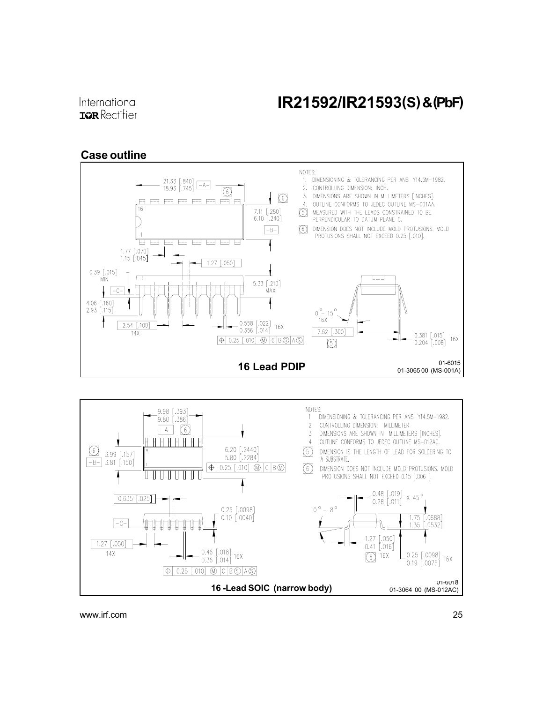### Case outline